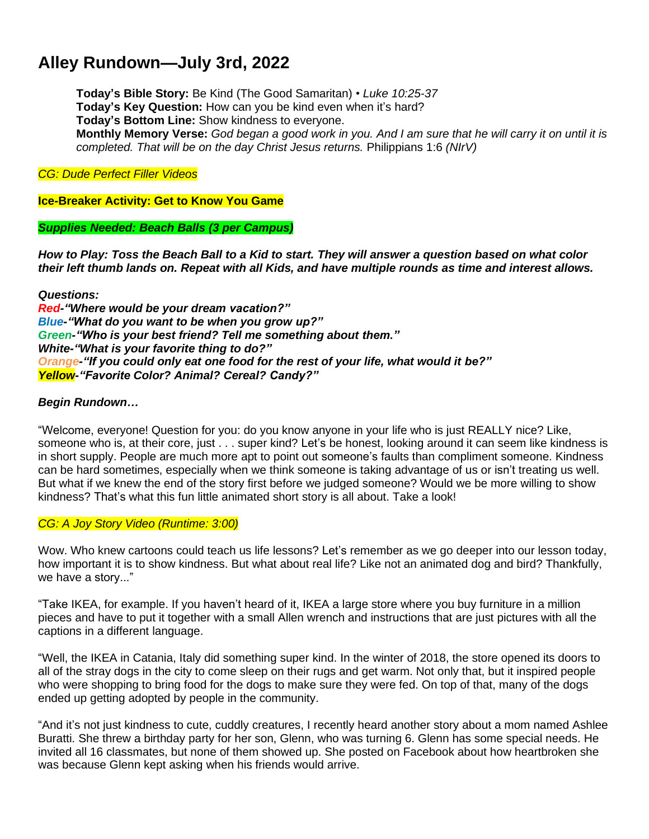# **Alley Rundown—July 3rd, 2022**

**Today's Bible Story:** Be Kind (The Good Samaritan) • *Luke 10:25-37* **Today's Key Question:** How can you be kind even when it's hard? **Today's Bottom Line:** Show kindness to everyone. Monthly Memory Verse: God began a good work in you. And I am sure that he will carry it on until it is *completed. That will be on the day Christ Jesus returns.* Philippians 1:6 *(NIrV)*

*CG: Dude Perfect Filler Videos*

**Ice-Breaker Activity: Get to Know You Game**

*Supplies Needed: Beach Balls (3 per Campus)*

How to Play: Toss the Beach Ball to a Kid to start. They will answer a question based on what color their left thumb lands on. Repeat with all Kids, and have multiple rounds as time and interest allows.

*Questions: Red-"Where would be your dream vacation?" Blue-"What do you want to be when you grow up?" Green-"Who is your best friend? Tell me something about them." White-"What is your favorite thing to do?" Orange-"If you could only eat one food for the rest of your life, what would it be?" Yellow-"Favorite Color? Animal? Cereal? Candy?"*

### *Begin Rundown…*

"Welcome, everyone! Question for you: do you know anyone in your life who is just REALLY nice? Like, someone who is, at their core, just . . . super kind? Let's be honest, looking around it can seem like kindness is in short supply. People are much more apt to point out someone's faults than compliment someone. Kindness can be hard sometimes, especially when we think someone is taking advantage of us or isn't treating us well. But what if we knew the end of the story first before we judged someone? Would we be more willing to show kindness? That's what this fun little animated short story is all about. Take a look!

### *CG: A Joy Story Video (Runtime: 3:00)*

Wow. Who knew cartoons could teach us life lessons? Let's remember as we go deeper into our lesson today, how important it is to show kindness. But what about real life? Like not an animated dog and bird? Thankfully, we have a story..."

"Take IKEA, for example. If you haven't heard of it, IKEA a large store where you buy furniture in a million pieces and have to put it together with a small Allen wrench and instructions that are just pictures with all the captions in a different language.

"Well, the IKEA in Catania, Italy did something super kind. In the winter of 2018, the store opened its doors to all of the stray dogs in the city to come sleep on their rugs and get warm. Not only that, but it inspired people who were shopping to bring food for the dogs to make sure they were fed. On top of that, many of the dogs ended up getting adopted by people in the community.

"And it's not just kindness to cute, cuddly creatures, I recently heard another story about a mom named Ashlee Buratti. She threw a birthday party for her son, Glenn, who was turning 6. Glenn has some special needs. He invited all 16 classmates, but none of them showed up. She posted on Facebook about how heartbroken she was because Glenn kept asking when his friends would arrive.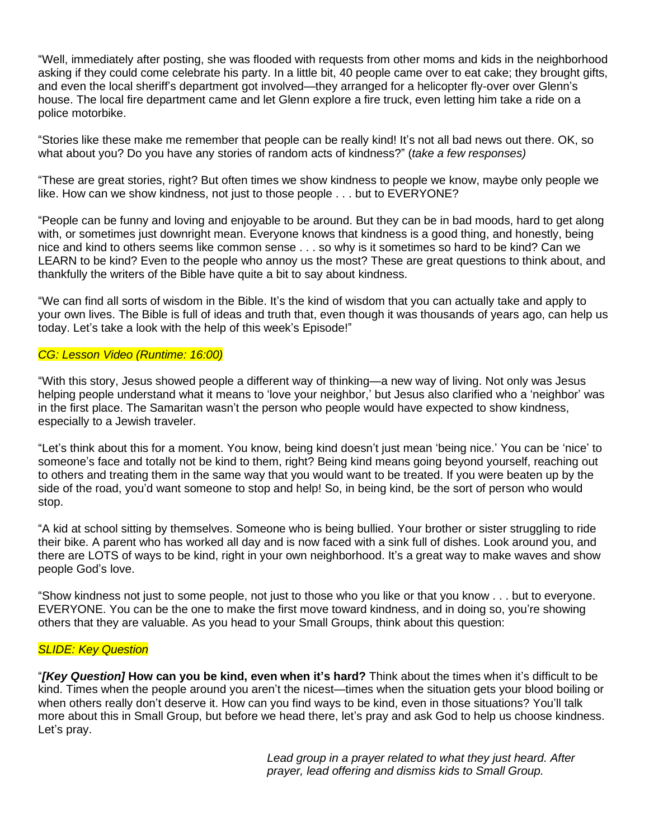"Well, immediately after posting, she was flooded with requests from other moms and kids in the neighborhood asking if they could come celebrate his party. In a little bit, 40 people came over to eat cake; they brought gifts, and even the local sheriff's department got involved—they arranged for a helicopter fly-over over Glenn's house. The local fire department came and let Glenn explore a fire truck, even letting him take a ride on a police motorbike.

"Stories like these make me remember that people can be really kind! It's not all bad news out there. OK, so what about you? Do you have any stories of random acts of kindness?" (*take a few responses)*

"These are great stories, right? But often times we show kindness to people we know, maybe only people we like. How can we show kindness, not just to those people . . . but to EVERYONE?

"People can be funny and loving and enjoyable to be around. But they can be in bad moods, hard to get along with, or sometimes just downright mean. Everyone knows that kindness is a good thing, and honestly, being nice and kind to others seems like common sense . . . so why is it sometimes so hard to be kind? Can we LEARN to be kind? Even to the people who annoy us the most? These are great questions to think about, and thankfully the writers of the Bible have quite a bit to say about kindness.

"We can find all sorts of wisdom in the Bible. It's the kind of wisdom that you can actually take and apply to your own lives. The Bible is full of ideas and truth that, even though it was thousands of years ago, can help us today. Let's take a look with the help of this week's Episode!"

### *CG: Lesson Video (Runtime: 16:00)*

"With this story, Jesus showed people a different way of thinking—a new way of living. Not only was Jesus helping people understand what it means to 'love your neighbor,' but Jesus also clarified who a 'neighbor' was in the first place. The Samaritan wasn't the person who people would have expected to show kindness, especially to a Jewish traveler.

"Let's think about this for a moment. You know, being kind doesn't just mean 'being nice.' You can be 'nice' to someone's face and totally not be kind to them, right? Being kind means going beyond yourself, reaching out to others and treating them in the same way that you would want to be treated. If you were beaten up by the side of the road, you'd want someone to stop and help! So, in being kind, be the sort of person who would stop.

"A kid at school sitting by themselves. Someone who is being bullied. Your brother or sister struggling to ride their bike. A parent who has worked all day and is now faced with a sink full of dishes. Look around you, and there are LOTS of ways to be kind, right in your own neighborhood. It's a great way to make waves and show people God's love.

"Show kindness not just to some people, not just to those who you like or that you know . . . but to everyone. EVERYONE. You can be the one to make the first move toward kindness, and in doing so, you're showing others that they are valuable. As you head to your Small Groups, think about this question:

### *SLIDE: Key Question*

"*[Key Question]* **How can you be kind, even when it's hard?** Think about the times when it's difficult to be kind. Times when the people around you aren't the nicest—times when the situation gets your blood boiling or when others really don't deserve it. How can you find ways to be kind, even in those situations? You'll talk more about this in Small Group, but before we head there, let's pray and ask God to help us choose kindness. Let's pray.

> *Lead group in a prayer related to what they just heard. After prayer, lead offering and dismiss kids to Small Group.*